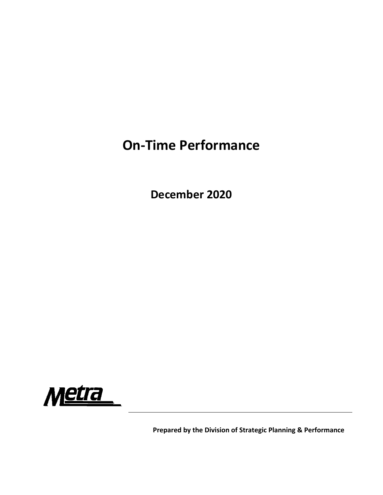## **On‐Time Performance**

**December 2020**



**Prepared by the Division of Strategic Planning & Performance**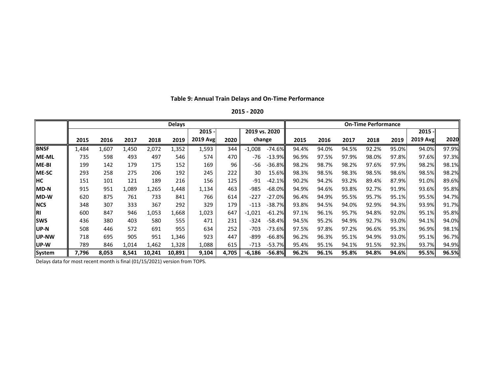|               | <b>Delays</b> |                           |       |        |        |          |       |          |          |       | <b>On-Time Performance</b> |       |       |       |          |       |  |  |  |
|---------------|---------------|---------------------------|-------|--------|--------|----------|-------|----------|----------|-------|----------------------------|-------|-------|-------|----------|-------|--|--|--|
|               |               | $2015 -$<br>2019 vs. 2020 |       |        |        |          |       | $2015 -$ |          |       |                            |       |       |       |          |       |  |  |  |
|               | 2015          | 2016                      | 2017  | 2018   | 2019   | 2019 Avg | 2020  | change   |          | 2015  | 2016                       | 2017  | 2018  | 2019  | 2019 Avg | 2020  |  |  |  |
| <b>IBNSF</b>  | 1,484         | 1,607                     | 1,450 | 2,072  | 1,352  | 1,593    | 344   | $-1,008$ | $-74.6%$ | 94.4% | 94.0%                      | 94.5% | 92.2% | 95.0% | 94.0%    | 97.9% |  |  |  |
| <b>IME-ML</b> | 735           | 598                       | 493   | 497    | 546    | 574      | 470   | -76      | $-13.9%$ | 96.9% | 97.5%                      | 97.9% | 98.0% | 97.8% | 97.6%    | 97.3% |  |  |  |
| <b>ME-BI</b>  | 199           | 142                       | 179   | 175    | 152    | 169      | 96    | $-56$    | $-36.8%$ | 98.2% | 98.7%                      | 98.2% | 97.6% | 97.9% | 98.2%    | 98.1% |  |  |  |
| <b>ME-SC</b>  | 293           | 258                       | 275   | 206    | 192    | 245      | 222   | 30       | 15.6%    | 98.3% | 98.5%                      | 98.3% | 98.5% | 98.6% | 98.5%    | 98.2% |  |  |  |
| <b>IHC</b>    | 151           | 101                       | 121   | 189    | 216    | 156      | 125   | -91      | $-42.1%$ | 90.2% | 94.2%                      | 93.2% | 89.4% | 87.9% | 91.0%    | 89.6% |  |  |  |
| <b>MD-N</b>   | 915           | 951                       | 1,089 | 1,265  | 1,448  | 1,134    | 463   | -985     | $-68.0%$ | 94.9% | 94.6%                      | 93.8% | 92.7% | 91.9% | 93.6%    | 95.8% |  |  |  |
| <b>IMD-W</b>  | 620           | 875                       | 761   | 733    | 841    | 766      | 614   | $-227$   | $-27.0%$ | 96.4% | 94.9%                      | 95.5% | 95.7% | 95.1% | 95.5%    | 94.7% |  |  |  |
| <b>INCS</b>   | 348           | 307                       | 333   | 367    | 292    | 329      | 179   | $-113$   | $-38.7%$ | 93.8% | 94.5%                      | 94.0% | 92.9% | 94.3% | 93.9%    | 91.7% |  |  |  |
| IRI           | 600           | 847                       | 946   | 1,053  | 1,668  | 1,023    | 647   | $-1,021$ | $-61.2%$ | 97.1% | 96.1%                      | 95.7% | 94.8% | 92.0% | 95.1%    | 95.8% |  |  |  |
| <b>I</b> sws  | 436           | 380                       | 403   | 580    | 555    | 471      | 231   | -324     | $-58.4%$ | 94.5% | 95.2%                      | 94.9% | 92.7% | 93.0% | 94.1%    | 94.0% |  |  |  |
| <b>IUP-N</b>  | 508           | 446                       | 572   | 691    | 955    | 634      | 252   | $-703$   | $-73.6%$ | 97.5% | 97.8%                      | 97.2% | 96.6% | 95.3% | 96.9%    | 98.1% |  |  |  |
| llUP-NW       | 718           | 695                       | 905   | 951    | 1,346  | 923      | 447   | -899     | $-66.8%$ | 96.2% | 96.3%                      | 95.1% | 94.9% | 93.0% | 95.1%    | 96.7% |  |  |  |
| lUP-W         | 789           | 846                       | 1,014 | 1,462  | 1,328  | 1,088    | 615   | -713     | $-53.7%$ | 95.4% | 95.1%                      | 94.1% | 91.5% | 92.3% | 93.7%    | 94.9% |  |  |  |
| System        | 7,796         | 8,053                     | 8,541 | 10,241 | 10,891 | 9,104    | 4,705 | $-6,186$ | -56.8%   | 96.2% | 96.1%                      | 95.8% | 94.8% | 94.6% | 95.5%    | 96.5% |  |  |  |

## **Table 9: Annual Train Delays and On‐Time Performance**

**2015 ‐ 2020**

Delays data for most recent month is final (01/15/2021) version from TOPS.